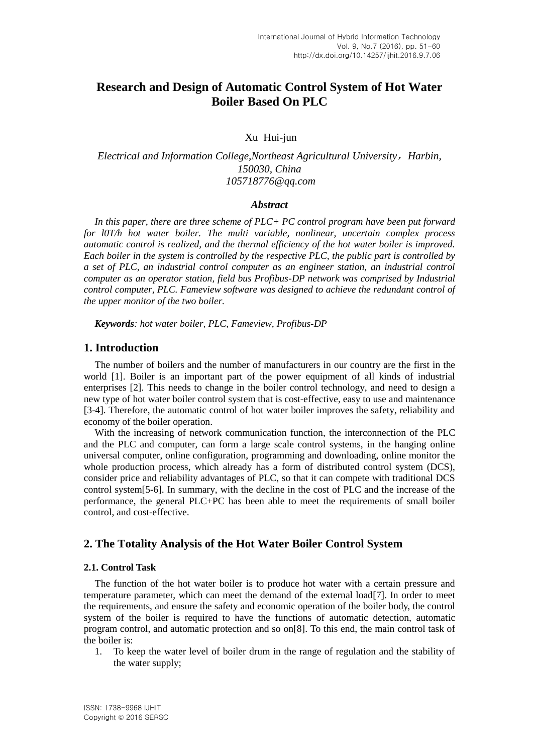# **Research and Design of Automatic Control System of Hot Water Boiler Based On PLC**

## Xu Hui-jun

# *Electrical and Information College,Northeast Agricultural University*,*Harbin, 150030, China 105718776@qq.com*

#### *Abstract*

*In this paper, there are three scheme of PLC+ PC control program have been put forward for l0T/h hot water boiler. The multi variable, nonlinear, uncertain complex process automatic control is realized, and the thermal efficiency of the hot water boiler is improved. Each boiler in the system is controlled by the respective PLC, the public part is controlled by a set of PLC, an industrial control computer as an engineer station, an industrial control computer as an operator station, field bus Profibus-DP network was comprised by Industrial control computer, PLC. Fameview software was designed to achieve the redundant control of the upper monitor of the two boiler.*

*Keywords: hot water boiler, PLC, Fameview, Profibus-DP*

# **1. Introduction**

The number of boilers and the number of manufacturers in our country are the first in the world [1]. Boiler is an important part of the power equipment of all kinds of industrial enterprises [2]. This needs to change in the boiler control technology, and need to design a new type of hot water boiler control system that is cost-effective, easy to use and maintenance [3-4]. Therefore, the automatic control of hot water boiler improves the safety, reliability and economy of the boiler operation.

With the increasing of network communication function, the interconnection of the PLC and the PLC and computer, can form a large scale control systems, in the hanging online universal computer, online configuration, programming and downloading, online monitor the whole production process, which already has a form of distributed control system (DCS), consider price and reliability advantages of PLC, so that it can compete with traditional DCS control system[5-6]. In summary, with the decline in the cost of PLC and the increase of the performance, the general PLC+PC has been able to meet the requirements of small boiler control, and cost-effective.

# **2. The Totality Analysis of the Hot Water Boiler Control System**

### **2.1. Control Task**

The function of the hot water boiler is to produce hot water with a certain pressure and temperature parameter, which can meet the demand of the external load[7]. In order to meet the requirements, and ensure the safety and economic operation of the boiler body, the control system of the boiler is required to have the functions of automatic detection, automatic program control, and automatic protection and so on[8]. To this end, the main control task of the boiler is:

1. To keep the water level of boiler drum in the range of regulation and the stability of the water supply;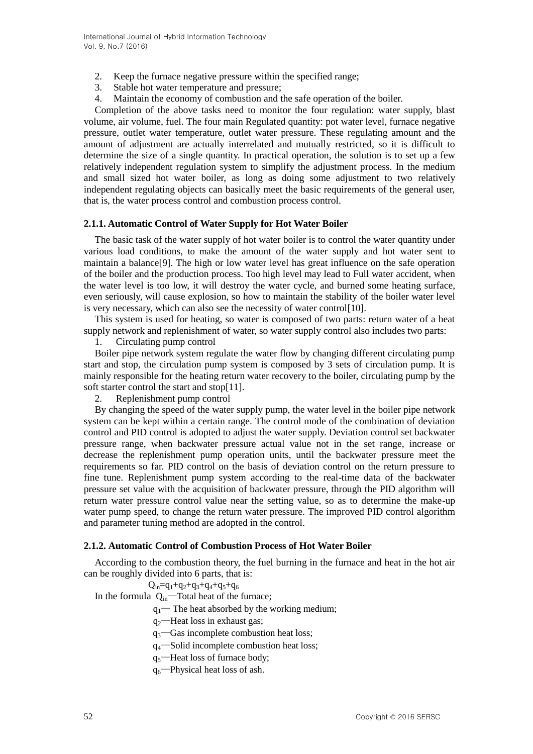- 2. Keep the furnace negative pressure within the specified range;
- 3. Stable hot water temperature and pressure;
- 4. Maintain the economy of combustion and the safe operation of the boiler.

Completion of the above tasks need to monitor the four regulation: water supply, blast volume, air volume, fuel. The four main Regulated quantity: pot water level, furnace negative pressure, outlet water temperature, outlet water pressure. These regulating amount and the amount of adjustment are actually interrelated and mutually restricted, so it is difficult to determine the size of a single quantity. In practical operation, the solution is to set up a few relatively independent regulation system to simplify the adjustment process. In the medium and small sized hot water boiler, as long as doing some adjustment to two relatively independent regulating objects can basically meet the basic requirements of the general user, that is, the water process control and combustion process control.

### **2.1.1. Automatic Control of Water Supply for Hot Water Boiler**

The basic task of the water supply of hot water boiler is to control the water quantity under various load conditions, to make the amount of the water supply and hot water sent to maintain a balance[9]. The high or low water level has great influence on the safe operation of the boiler and the production process. Too high level may lead to Full water accident, when the water level is too low, it will destroy the water cycle, and burned some heating surface, even seriously, will cause explosion, so how to maintain the stability of the boiler water level is very necessary, which can also see the necessity of water control[10].

This system is used for heating, so water is composed of two parts: return water of a heat supply network and replenishment of water, so water supply control also includes two parts:

1. Circulating pump control

Boiler pipe network system regulate the water flow by changing different circulating pump start and stop, the circulation pump system is composed by 3 sets of circulation pump. It is mainly responsible for the heating return water recovery to the boiler, circulating pump by the soft starter control the start and stop[11].

2. Replenishment pump control

By changing the speed of the water supply pump, the water level in the boiler pipe network system can be kept within a certain range. The control mode of the combination of deviation control and PID control is adopted to adjust the water supply. Deviation control set backwater pressure range, when backwater pressure actual value not in the set range, increase or decrease the replenishment pump operation units, until the backwater pressure meet the requirements so far. PID control on the basis of deviation control on the return pressure to fine tune. Replenishment pump system according to the real-time data of the backwater pressure set value with the acquisition of backwater pressure, through the PID algorithm will return water pressure control value near the setting value, so as to determine the make-up water pump speed, to change the return water pressure. The improved PID control algorithm and parameter tuning method are adopted in the control.

## **2.1.2. Automatic Control of Combustion Process of Hot Water Boiler**

According to the combustion theory, the fuel burning in the furnace and heat in the hot air can be roughly divided into 6 parts, that is:

 $Q_{in}=q_1+q_2+q_3+q_4+q_5+q_6$ 

In the formula  $Q_{in}$ —Total heat of the furnace;

 $q_1$ — The heat absorbed by the [working medium;](http://www.baidu.com/link?url=wGlsxpUFWDLtITYd8YDyeRW5LJI2ZeEl-tArtGRznkwfFugprWg1WaQCjHxaag1sNq8rLY0ULD5fW_4rMDd51cpycHaAH5QqJDFRBTdpdF0U0ZcYdZvT4cF6tokd4KhD)

 $q_2$ —Heat loss in exhaust gas;

 $q_3$ —Gas incomplete combustion heat loss;

q4—Solid incomplete combustion heat loss;

- $q_5$ —Heat loss of furnace body;
- $q_6$ —Physical heat loss of ash.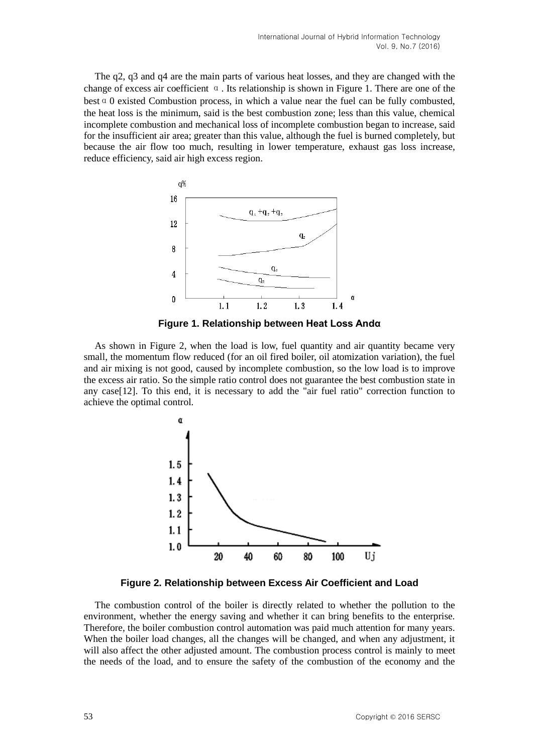The q2, q3 and q4 are the main parts of various heat losses, and they are changed with the change of excess air coefficient  $\alpha$ . Its relationship is shown in Figure 1. There are one of the best  $\alpha$  0 existed Combustion process, in which a value near the fuel can be fully combusted, the heat loss is the minimum, said is the best combustion zone; less than this value, chemical incomplete combustion and mechanical loss of incomplete combustion began to increase, said for the insufficient air area; greater than this value, although the fuel is burned completely, but because the air flow too much, resulting in lower temperature, exhaust gas loss increase, reduce efficiency, said air high excess region.



**Figure 1. Relationship between Heat Loss Andα**

As shown in Figure 2, when the load is low, fuel quantity and air quantity became very small, the momentum flow reduced (for an oil fired boiler, oil atomization variation), the fuel and air mixing is not good, caused by incomplete combustion, so the low load is to improve the excess air ratio. So the simple ratio control does not guarantee the best combustion state in any case[12]. To this end, it is necessary to add the "air fuel ratio" correction function to achieve the optimal control.



**Figure 2. Relationship between Excess Air Coefficient and Load**

The combustion control of the boiler is directly related to whether the pollution to the environment, whether the energy saving and whether it can bring benefits to the enterprise. Therefore, the boiler combustion control automation was paid much attention for many years. When the boiler load changes, all the changes will be changed, and when any adjustment, it will also affect the other adjusted amount. The combustion process control is mainly to meet the needs of the load, and to ensure the safety of the combustion of the economy and the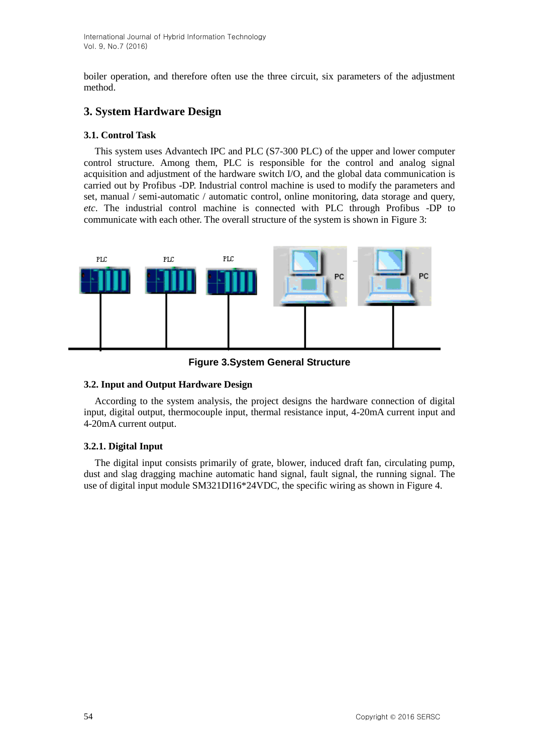International Journal of Hybrid Information Technology Vol. 9, No.7 (2016)

boiler operation, and therefore often use the three circuit, six parameters of the adjustment method.

# **3. System Hardware Design**

# **3.1. Control Task**

This system uses Advantech IPC and PLC (S7-300 PLC) of the upper and lower computer control structure. Among them, PLC is responsible for the control and analog signal acquisition and adjustment of the hardware switch I/O, and the global data communication is carried out by Profibus -DP. Industrial control machine is used to modify the parameters and set, manual / semi-automatic / automatic control, online monitoring, data storage and query, *etc*. The industrial control machine is connected with PLC through Profibus -DP to communicate with each other. The overall structure of the system is shown in Figure 3:



**Figure 3.System General Structure**

## **3.2. Input and Output Hardware Design**

According to the system analysis, the project designs the hardware connection of digital input, digital output, thermocouple input, thermal resistance input, 4-20mA current input and 4-20mA current output.

## **3.2.1. Digital Input**

The digital input consists primarily of grate, blower, induced draft fan, circulating pump, dust and slag dragging machine automatic hand signal, fault signal, the running signal. The use of digital input module SM321DI16\*24VDC, the specific wiring as shown in Figure 4.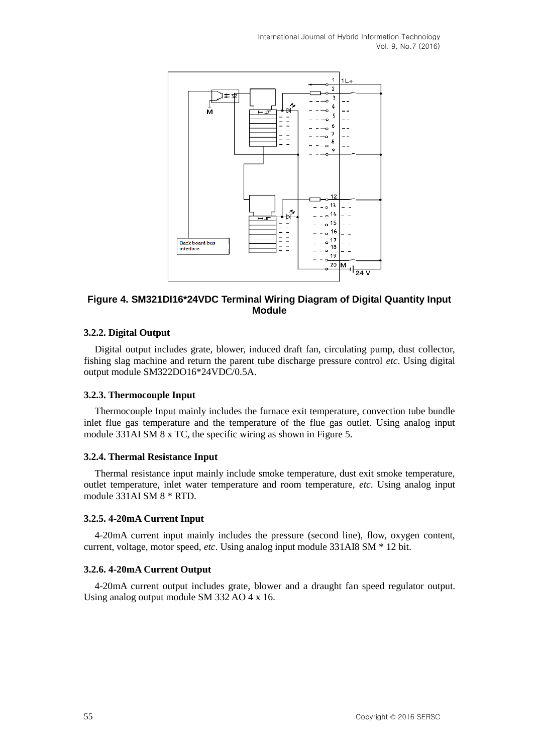International Journal of Hybrid Information Technology Vol. 9, No.7 (2016)



## **Figure 4. SM321DI16\*24VDC Terminal Wiring Diagram of Digital Quantity Input Module**

# **3.2.2. Digital Output**

Digital output includes grate, blower, induced draft fan, circulating pump, dust collector, fishing slag machine and return the parent tube discharge pressure control *etc*. Using digital output module SM322DO16\*24VDC/0.5A.

#### **3.2.3. Thermocouple Input**

Thermocouple Input mainly includes the furnace exit temperature, convection tube bundle inlet flue gas temperature and the temperature of the flue gas outlet. Using analog input module 331AI SM 8 x TC, the specific wiring as shown in Figure 5.

#### **3.2.4. Thermal Resistance Input**

Thermal resistance input mainly include smoke temperature, dust exit smoke temperature, outlet temperature, inlet water temperature and room temperature, *etc*. Using analog input module 331AI SM 8 \* RTD.

#### **3.2.5. 4-20mA Current Input**

4-20mA current input mainly includes the pressure (second line), flow, oxygen content, current, voltage, motor speed, *etc*. Using analog input module 331AI8 SM \* 12 bit.

#### **3.2.6. 4-20mA Current Output**

4-20mA current output includes grate, blower and a draught fan speed regulator output. Using analog output module SM 332 AO 4 x 16.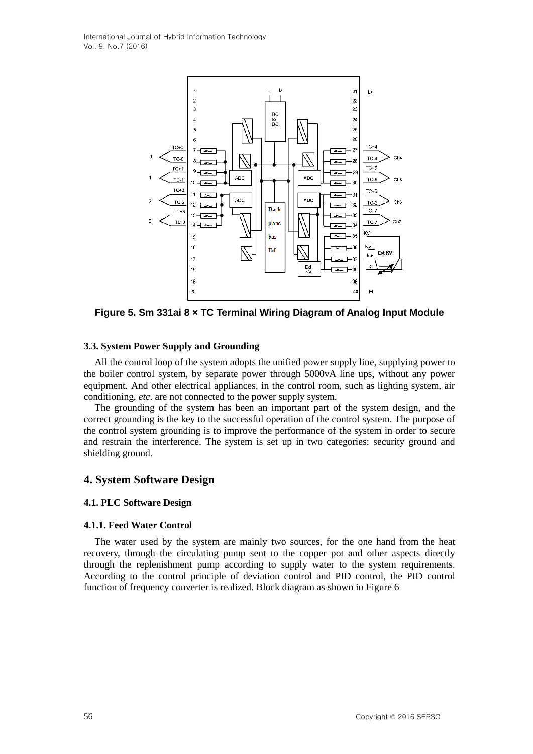

**Figure 5. Sm 331ai 8 × TC Terminal Wiring Diagram of Analog Input Module**

# **3.3. System Power Supply and Grounding**

All the control loop of the system adopts the unified power supply line, supplying power to the boiler control system, by separate power through 5000vA line ups, without any power equipment. And other electrical appliances, in the control room, such as lighting system, air conditioning, *etc*. are not connected to the power supply system.

The grounding of the system has been an important part of the system design, and the correct grounding is the key to the successful operation of the control system. The purpose of the control system grounding is to improve the performance of the system in order to secure and restrain the interference. The system is set up in two categories: security ground and shielding ground.

# **4. System Software Design**

## **4.1. PLC Software Design**

## **4.1.1. Feed Water Control**

The water used by the system are mainly two sources, for the one hand from the heat recovery, through the circulating pump sent to the copper pot and other aspects directly through the replenishment pump according to supply water to the system requirements. According to the control principle of deviation control and PID control, the PID control function of frequency converter is realized. Block diagram as shown in Figure 6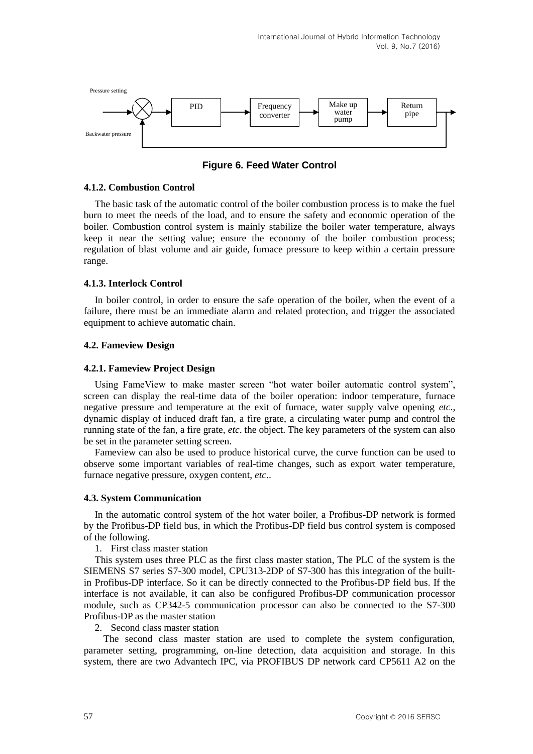

**Figure 6. Feed Water Control**

## **4.1.2. Combustion Control**

The basic task of the automatic control of the boiler combustion process is to make the fuel burn to meet the needs of the load, and to ensure the safety and economic operation of the boiler. Combustion control system is mainly stabilize the boiler water temperature, always keep it near the setting value; ensure the economy of the boiler combustion process; regulation of blast volume and air guide, furnace pressure to keep within a certain pressure range.

## **4.1.3. Interlock Control**

In boiler control, in order to ensure the safe operation of the boiler, when the event of a failure, there must be an immediate alarm and related protection, and trigger the associated equipment to achieve automatic chain.

# **4.2. Fameview Design**

# **4.2.1. Fameview Project Design**

Using FameView to make master screen "hot water boiler automatic control system", screen can display the real-time data of the boiler operation: indoor temperature, furnace negative pressure and temperature at the exit of furnace, water supply valve opening *etc*., dynamic display of induced draft fan, a fire grate, a circulating water pump and control the running state of the fan, a fire grate, *etc*. the object. The key parameters of the system can also be set in the parameter setting screen.

Fameview can also be used to produce historical curve, the curve function can be used to observe some important variables of real-time changes, such as export water temperature, furnace negative pressure, oxygen content, *etc*..

## **4.3. System Communication**

In the automatic control system of the hot water boiler, a Profibus-DP network is formed by the Profibus-DP field bus, in which the Profibus-DP field bus control system is composed of the following.

1. First class master station

This system uses three PLC as the first class master station, The PLC of the system is the SIEMENS S7 series S7-300 model, CPU313-2DP of S7-300 has this integration of the builtin Profibus-DP interface. So it can be directly connected to the Profibus-DP field bus. If the interface is not available, it can also be configured Profibus-DP communication processor module, such as CP342-5 communication processor can also be connected to the S7-300 Profibus-DP as the master station

2. Second class master station

The second class master station are used to complete the system configuration, parameter setting, programming, on-line detection, data acquisition and storage. In this system, there are two Advantech IPC, via PROFIBUS DP network card CP5611 A2 on the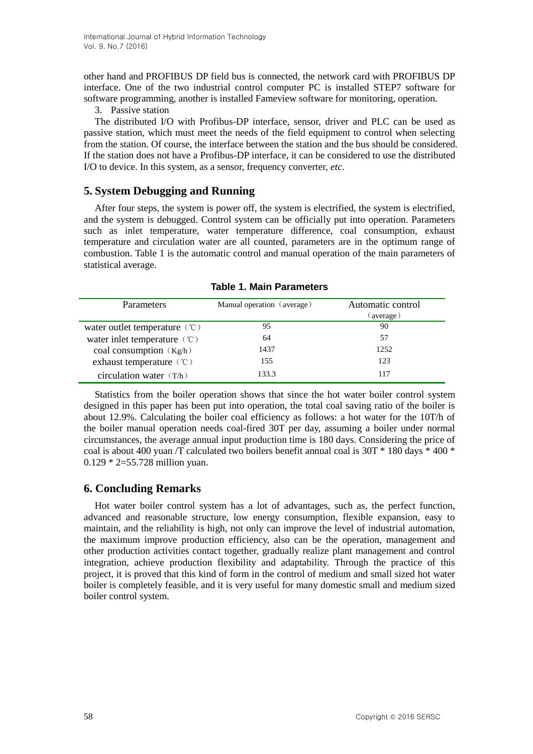other hand and PROFIBUS DP field bus is connected, the network card with PROFIBUS DP interface. One of the two industrial control computer PC is installed STEP7 software for software programming, another is installed Fameview software for monitoring, operation.

3. Passive station

The distributed I/O with Profibus-DP interface, sensor, driver and PLC can be used as passive station, which must meet the needs of the field equipment to control when selecting from the station. Of course, the interface between the station and the bus should be considered. If the station does not have a Profibus-DP interface, it can be considered to use the distributed I/O to device. In this system, as a sensor, frequency converter, *etc*.

# **5. System Debugging and Running**

After four steps, the system is power off, the system is electrified, the system is electrified, and the system is debugged. Control system can be officially put into operation. Parameters such as inlet temperature, water temperature difference, coal consumption, exhaust temperature and circulation water are all counted, parameters are in the optimum range of combustion. Table 1 is the automatic control and manual operation of the main parameters of statistical average.

| Parameters                                          | Manual operation (average) | Automatic control<br>(average) |
|-----------------------------------------------------|----------------------------|--------------------------------|
|                                                     |                            |                                |
| water outlet temperature $\langle \text{C} \rangle$ | 95                         | 90                             |
| water inlet temperature (°C)                        | 64                         | 57                             |
| coal consumption $(Kg/h)$                           | 1437                       | 1252                           |
| exhaust temperature (°C)                            | 155                        | 123                            |
| circulation water $(T/h)$                           | 133.3                      | 117                            |

**Table 1. Main Parameters**

Statistics from the boiler operation shows that since the hot water boiler control system designed in this paper has been put into operation, the total coal saving ratio of the boiler is about 12.9%. Calculating the boiler coal efficiency as follows: a hot water for the 10T/h of the boiler manual operation needs coal-fired 30T per day, assuming a boiler under normal circumstances, the average annual input production time is 180 days. Considering the price of coal is about 400 yuan /T calculated two boilers benefit annual coal is 30T \* 180 days \* 400 \* 0.129 \* 2=55.728 million yuan.

# **6. Concluding Remarks**

Hot water boiler control system has a lot of advantages, such as, the perfect function, advanced and reasonable structure, low energy consumption, flexible expansion, easy to maintain, and the reliability is high, not only can improve the level of industrial automation, the maximum improve production efficiency, also can be the operation, management and other production activities contact together, gradually realize plant management and control integration, achieve production flexibility and adaptability. Through the practice of this project, it is proved that this kind of form in the control of medium and small sized hot water boiler is completely feasible, and it is very useful for many domestic small and medium sized boiler control system.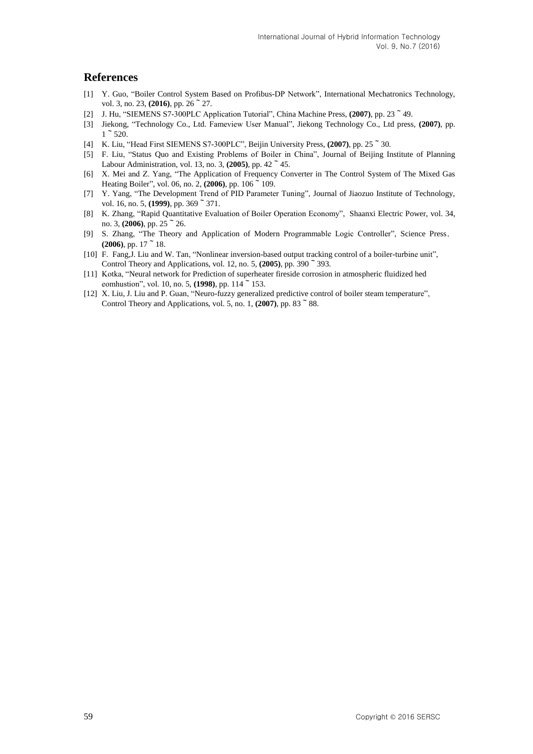# **References**

- [1] Y. Guo, "Boiler Control System Based on Profibus-DP Network", International Mechatronics Technology, vol. 3, no. 23, **(2016)**, pp. 26<sup> $\sim$ </sup> 27.
- [2] J. Hu, "SIEMENS S7-300PLC Application Tutorial", China Machine Press, **(2007)**, pp. 23~49.
- [3] Jiekong, "Technology Co., Ltd. Fameview User Manual", Jiekong Technology Co., Ltd press, **(2007)**, pp.  $1~^\sim 520.$
- [4] K. Liu, "Head First SIEMENS S7-300PLC", Beijin University Press, **(2007)**, pp. 25~30.
- [5] F. Liu, "Status Quo and Existing Problems of Boiler in China", Journal of Beijing Institute of Planning Labour Administration, vol. 13, no. 3, **(2005)**, pp. 42~45.
- [6] X. Mei and Z. Yang, "The Application of Frequency Converter in The Control System of The Mixed Gas Heating Boiler", vol. 06, no. 2, **(2006)**, pp. 106~109.
- [7] Y. Yang, "The Development Trend of PID Parameter Tuning", Journal of Jiaozuo Institute of Technology, vol. 16, no. 5, (1999), pp. 369  $\degree$  371.
- [8] K. Zhang, "Rapid Quantitative Evaluation of Boiler Operation Economy", Shaanxi Electric Power, vol. 34, no. 3,  $(2006)$ , pp.  $25~^{\circ}$  26.
- [9] S. Zhang, "The Theory and Application of Modern Programmable Logic Controller", Science Press,  $(2006)$ , pp. 17  $\degree$  18.
- [10] F. Fang,J. Liu and W. Tan, "Nonlinear inversion-based output tracking control of a boiler-turbine unit", Control Theory and Applications, vol. 12, no. 5, **(2005)**, pp. 390~393.
- [11] Kotka, "Neural network for Prediction of superheater fireside corrosion in atmospheric fluidized hed eomhustion", vol. 10, no. 5, **(1998)**, pp. 114~153.
- [12] X. Liu, J. Liu and P. Guan, "Neuro-fuzzy generalized predictive control of boiler steam temperature", Control Theory and Applications, vol. 5, no. 1,  $(2007)$ , pp. 83 $\degree$ 88.